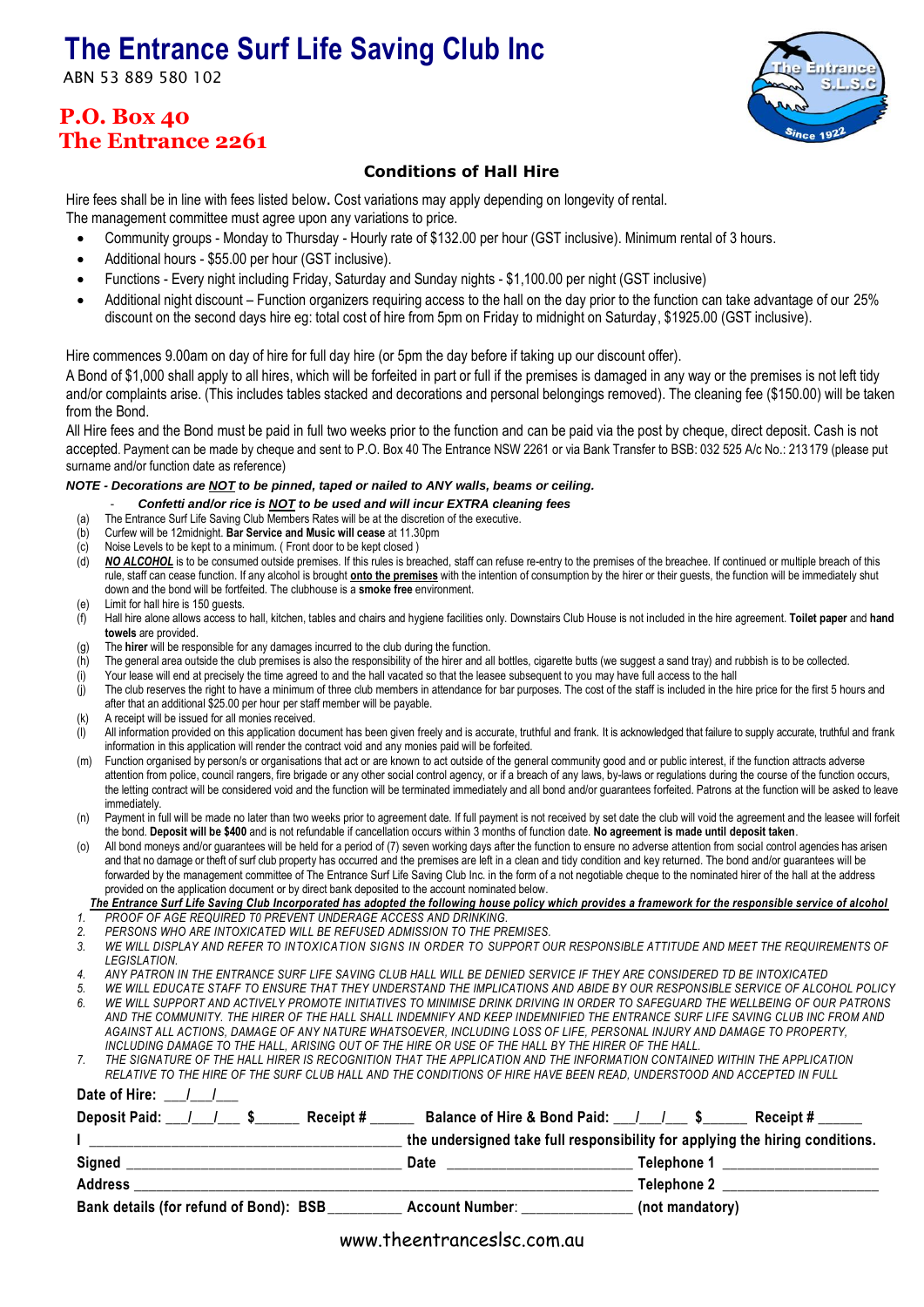## **The Entrance Surf Life Saving Club Inc**

ABN 53 889 580 102

## **P.O. Box 40 The Entrance 2261**

# e 1922

trane  $L.S.C$ 

### **Conditions of Hall Hire**

Hire fees shall be in line with fees listed below**.** Cost variations may apply depending on longevity of rental.

- The management committee must agree upon any variations to price.
	- Community groups Monday to Thursday Hourly rate of \$132.00 per hour (GST inclusive). Minimum rental of 3 hours.
	- Additional hours \$55.00 per hour (GST inclusive).
	- Functions Every night including Friday, Saturday and Sunday nights \$1,100.00 per night (GST inclusive)
	- Additional night discount Function organizers requiring access to the hall on the day prior to the function can take advantage of our 25% discount on the second days hire eg: total cost of hire from 5pm on Friday to midnight on Saturday, \$1925.00 (GST inclusive).

Hire commences 9.00am on day of hire for full day hire (or 5pm the day before if taking up our discount offer).

A Bond of \$1,000 shall apply to all hires, which will be forfeited in part or full if the premises is damaged in any way or the premises is not left tidy and/or complaints arise. (This includes tables stacked and decorations and personal belongings removed). The cleaning fee (\$150.00) will be taken from the Bond.

All Hire fees and the Bond must be paid in full two weeks prior to the function and can be paid via the post by cheque, direct deposit. Cash is not accepted. Payment can be made by cheque and sent to P.O. Box 40 The Entrance NSW 2261 or via Bank Transfer to BSB: 032 525 A/c No.: 213179 (please put surname and/or function date as reference)

#### *NOTE - Decorations are NOT to be pinned, taped or nailed to ANY walls, beams or ceiling.*

- *Confetti and/or rice is NOT to be used and will incur EXTRA cleaning fees*
- (a) The Entrance Surf Life Saving Club Members Rates will be at the discretion of the executive.
- (b) Curfew will be 12midnight. **Bar Service and Music will cease** at 11.30pm
- (c) Noise Levels to be kept to a minimum. ( Front door to be kept closed )
- (d) **NO ALCOHOL** is to be consumed outside premises. If this rules is breached, staff can refuse re-entry to the premises of the breachee. If continued or multiple breach of this rule, staff can cease function. If any alcohol is brought **onto the premises** with the intention of consumption by the hirer or their guests, the function will be immediately shut down and the bond will be fortfeited. The clubhouse is a **smoke free** environment.
- (e) Limit for hall hire is 150 guests.
- (f) Hall hire alone allows access to hall, kitchen, tables and chairs and hygiene facilities only. Downstairs Club House is not included in the hire agreement. **Toilet paper** and **hand towels** are provided.
- (g) The **hirer** will be responsible for any damages incurred to the club during the function.
- (h) The general area outside the club premises is also the responsibility of the hirer and all bottles, cigarette butts (we suggest a sand tray) and rubbish is to be collected.
- (i) Your lease will end at precisely the time agreed to and the hall vacated so that the leasee subsequent to you may have full access to the hall
- $\ddot{\text{ii}}$  The club reserves the right to have a minimum of three club members in attendance for bar purposes. The cost of the staff is included in the hire price for the first 5 hours and after that an additional \$25.00 per hour per staff member will be payable.
- (k) A receipt will be issued for all monies received.
- All information provided on this application document has been given freely and is accurate, truthful and frank. It is acknowledged that failure to supply accurate, truthful and frank. information in this application will render the contract void and any monies paid will be forfeited.
- (m) Function organised by person/s or organisations that act or are known to act outside of the general community good and or public interest, if the function attracts adverse attention from police, council rangers, fire brigade or any other social control agency, or if a breach of any laws, by-laws or regulations during the course of the function occurs, the letting contract will be considered void and the function will be terminated immediately and all bond and/or guarantees forfeited. Patrons at the function will be asked to leave immediately.
- (n) Payment in full will be made no later than two weeks prior to agreement date. If full payment is not received by set date the club will void the agreement and the leasee will forfeit the bond. **Deposit will be \$400** and is not refundable if cancellation occurs within 3 months of function date. **No agreement is made until deposit taken**.

(o) All bond moneys and/or guarantees will be held for a period of (7) seven working days after the function to ensure no adverse attention from social control agencies has arisen and that no damage or theft of surf club property has occurred and the premises are left in a clean and tidy condition and key returned. The bond and/or guarantees will be forwarded by the management committee of The Entrance Surf Life Saving Club Inc. in the form of a not negotiable cheque to the nominated hirer of the hall at the address provided on the application document or by direct bank deposited to the account nominated below.

*The Entrance Surf Life Saving Club Incorporated has adopted the following house policy which provides a framework for the responsible service of alcohol 1. PROOF OF AGE REQUIRED T0 PREVENT UNDERAGE ACCESS AND DRINKING.*

- *2. PERSONS WHO ARE INTOXICATED WILL BE REFUSED ADMISSION TO THE PREMISES.*
- *3. WE WILL DISPLAY AND REFER TO INTOXICATION SIGNS IN ORDER TO SUPPORT OUR RESPONSIBLE ATTITUDE AND MEET THE REQUIREMENTS OF LEGISLATION.*
- *4. ANY PATRON IN THE ENTRANCE SURF LIFE SAVING CLUB HALL WILL BE DENIED SERVICE IF THEY ARE CONSIDERED TD BE INTOXICATED*
- *5. WE WILL EDUCATE STAFF TO ENSURE THAT THEY UNDERSTAND THE IMPLICATIONS AND ABIDE BY OUR RESPONSIBLE SERVICE OF ALCOHOL POLICY 6. WE WILL SUPPORT AND ACTIVELY PROMOTE INITIATIVES TO MINIMISE DRINK DRIVING IN ORDER TO SAFEGUARD THE WELLBEING OF OUR PATRONS AND THE COMMUNITY. THE HIRER OF THE HALL SHALL INDEMNIFY AND KEEP INDEMNIFIED THE ENTRANCE SURF LIFE SAVING CLUB INC FROM AND AGAINST ALL ACTIONS, DAMAGE OF ANY NATURE WHATSOEVER, INCLUDING LOSS OF LIFE, PERSONAL INJURY AND DAMAGE TO PROPERTY, INCLUDING DAMAGE TO THE HALL, ARISING OUT OF THE HIRE OR USE OF THE HALL BY THE HIRER OF THE HALL.*

*7. THE SIGNATURE OF THE HALL HIRER IS RECOGNITION THAT THE APPLICATION AND THE INFORMATION CONTAINED WITHIN THE APPLICATION RELATIVE TO THE HIRE OF THE SURF CLUB HALL AND THE CONDITIONS OF HIRE HAVE BEEN READ, UNDERSTOOD AND ACCEPTED IN FULL* Date of Hire:  $\frac{1}{1}$ 

| Deposit Paid: / / \$<br><b>Receipt</b> # | Balance of Hire & Bond Paid: 1.1.                                            | Receipt #       |
|------------------------------------------|------------------------------------------------------------------------------|-----------------|
|                                          | the undersigned take full responsibility for applying the hiring conditions. |                 |
| Signed                                   | <b>Date</b>                                                                  | Telephone 1     |
| <b>Address</b>                           |                                                                              | Telephone 2     |
| Bank details (for refund of Bond): BSB   | <b>Account Number:</b>                                                       | (not mandatory) |

www.theentranceslsc.com.au